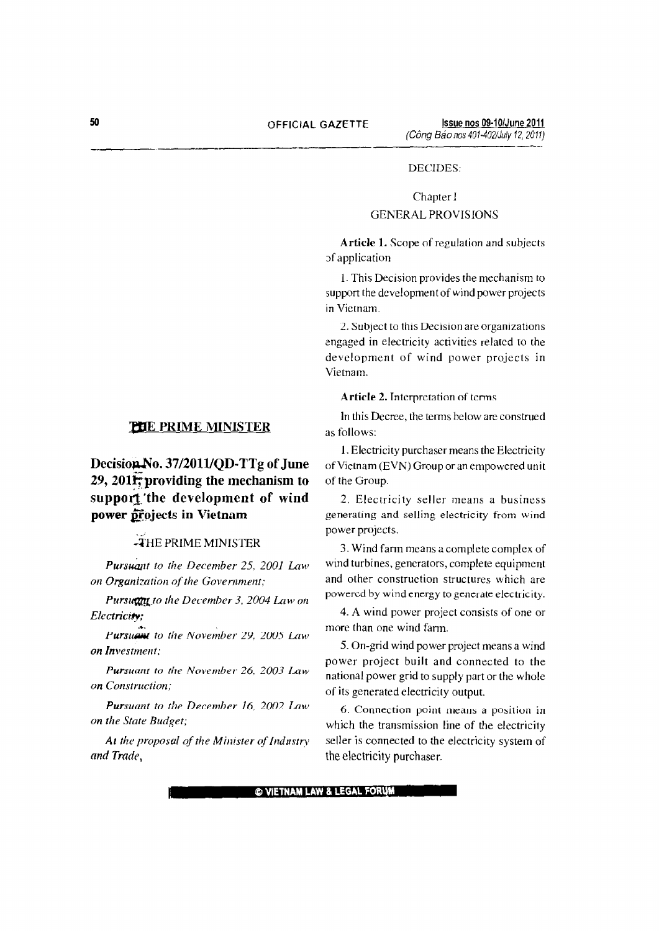### DECIDES:

# Chapter I GENERAL PROVISIONS

Article 1. Scope of regulation and subjects of application

1.This Decision provides the mechanism to support the development of wind power projects in Vietnam.

2. Subject to this Decision are organizations engaged in electricity activities related to the development of wind power projects in Vietnam.

Article 2. Interpretation of terms

In this Decree, the terms below are construed as follows:

1.Electricity purchaser means the Electricity of Vietnam (EVN) Group or an empowered unit of the Group.

2. Electricity seller means a business generating and selling electricity from wind power projects.

3. Wind farm means a complete complex of wind turbines, generators, complete equipment and other construction structures which are powered by wind energy to generate electricity.

4. A wind power project consists of one or more than one wind farm.

5. On-grid wind power project means a wind power project built and connected to the national power grid to supply part or the whole of its generated electricity output.

6. Connection point means a position in which the transmission line of the electricity seller is connected to the electricity system of the electricity purchaser.

## **PHE PRIME MINISTER**

# Decision No. 37/2011/QD-TTg of June 29, 2011; providing the mechanism to support the development of wind power projects in Vietnam

# .<br>THE PRIME MINISTER

*Pursuant to the December* 25, *2001 Law on Organization of the Government*;

*Pursugnt to the December 3, 2004 Law on Electricity:*

Purs~ *to the November 2Y,* 200:; *Law on Investment;*

*Pursuant to the November* 26, *2003 Law on Construction:*

*Pursuant to the December 16, 2002 Law on the State Budget;*

At the proposal of the Minister of Industry *and Trade,*

© VIETNAM LAW & LEGAL FORUM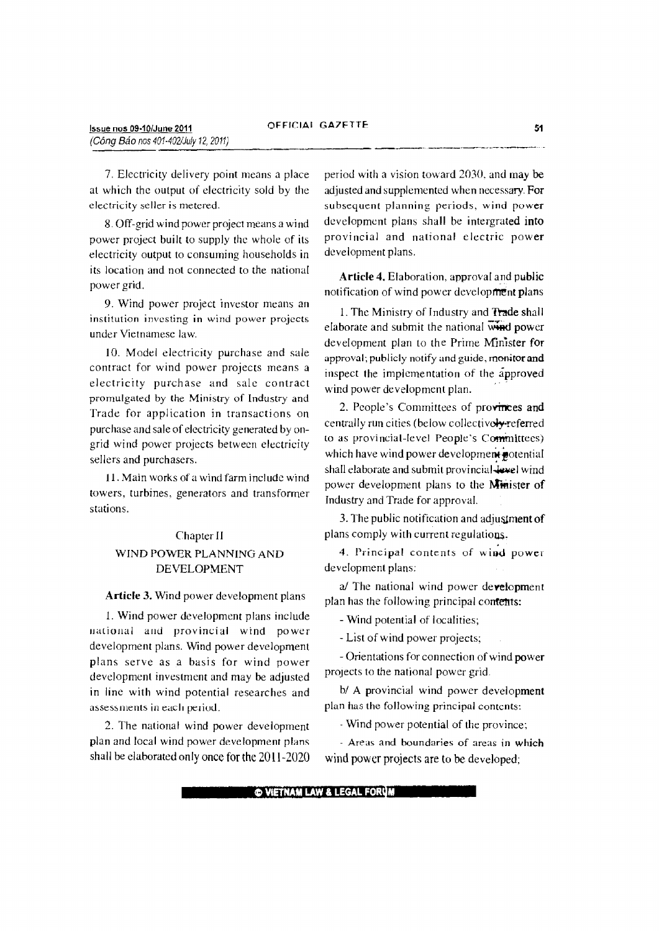7. Electricity delivery point means a place at which the output of electricity sold by the electricity seller is metered.

8. Off-grid wind power project means a wind power project built to supply the whole of its electricity output to consuming households in its location and not connected to the national power grid.

9. Wind power project investor means an institution investing in wind power projects under Vietnamese law.

10. Model electricity purchase and sale contract for wind power projects means a electricity purchase and sale contract promulgated by the Ministry of Industry and Trade for application in transactions on purchase and sale of electricity generated by ongrid wind power projects between electricity sellers and purchasers.

11. Main works of a wind farm inc! ude wind towers, turbines, generators and transformer stations.

# Chapter II WIND POWER PLANNING AND DEVELOPMENT

#### Article 3. Wind power development plans

1. Wind power development plans include national and provincial wind power development plans. Wind power development plans serve as a basis for wind power development investment and may be adjusted in line with wind potential researches and assessments in each period.

2. The national wind power development plan and local wind power development plans shall be elaborated only once for the 2011-2020 period with a vision toward 2030, and may be adjusted and supplemented when necessary. For subsequent planning periods, wind power development plans shall be intergrated into provincial and national electric power development plans.

Article 4. Elaboration, approval and public notification of wind power development plans

1.The Ministry of Industry and Trade shall elaborate and submit the national  $\overline{\text{w}}$  **wirely** power development plan to the Prime Minister for approval; publicly notify and guide, monitor and inspect the implementation of the approved wind power development plan.

2. People's Committees of provinces and centrally run cities (below collectively-referred to as provincial-level People's Committees) which have wind power development potential shall elaborate and submit provincial-level wind power development plans to the Minister of Industry and Trade for approval.

3. The public notification and adjusiment of plans comply with current regulations.

4. Principal contents of wind power development plans:

*aI* The national wind power development plan has the following principal contents:

- Wind potential of localities;

- List of wind power projects;

- Orientations for connection of wind power projects to the national power grid.

*bl* A provincial wind power development plan has the following principal contents:

- Wind power potential of the province;

- Areas and boundaries of areas in which wind power projects are to be developed;

**C VIETNAM LAW & LEGAL FOR**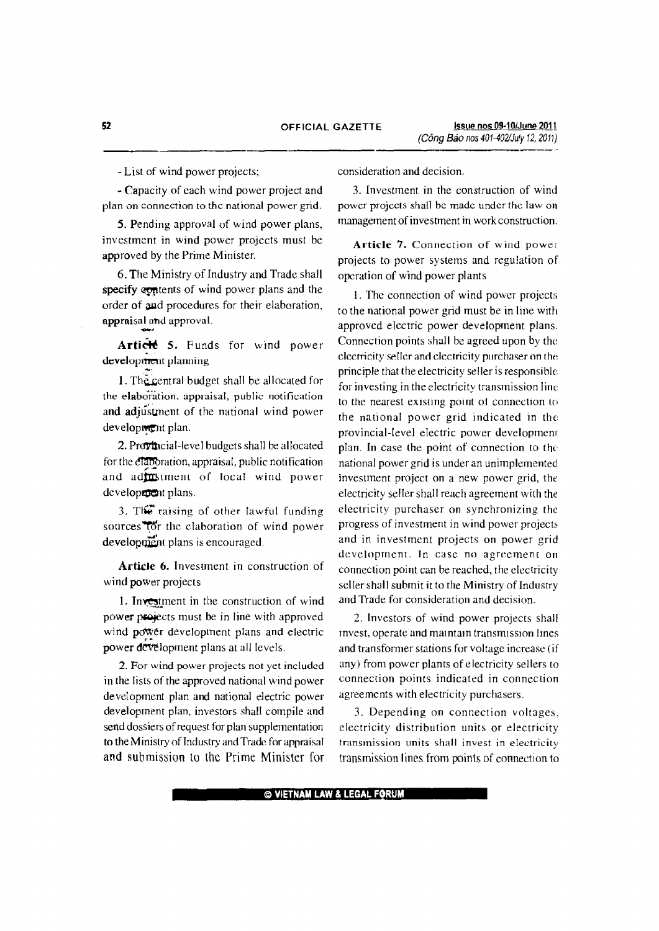- List of wind power projects;

- Capacity of each wind power project and plan on connection to the national power grid.

5. Pending approval of wind power plans, investment in wind power projects must be approved by the Prime Minister.

6. The Ministry of Industry and Trade shall specify equitents of wind power plans and the order of aad procedures for their elaboration, appraisal and approval.

Article 5. Funds for wind power development planning

1. The central budget shall be allocated for the elaboration. appraisal, public notification and adjustment of the national wind power development plan.

2. Provincial-level budgets shall be allocated for the elaboration, appraisal, public notification and adjustment of local wind power developrout plans.

3. The raising of other lawful funding sources<sup>1</sup>(or the elaboration of wind power development plans is encouraged.

Article 6. Investment in construction of wind power projects

1. Investment in the construction of wind power projects must be in line with approved wind power development plans and electric power development plans at all levels.

2. For wind power projects not yet included in the lists of the approved national wind power development plan and national electric power development plan, investors shall compile and send dossiers of request for plan supplementation to the Ministry of Industry and Trade for appraisal and submission to the Prime Minister for consideration and decision.

3. Investment in the construction of wind power projects shall be made under the law on management of investment in work construction.

Article 7. Connection of wind power projects to power systems and regulation of operation of wind power plants

1. The connection of wind power projects to the national power grid must be in line with approved electric power development plans. Connection points shall be agreed upon by the electricity seller and electricity purchaser on the principle that the electricity seller is responsible for investing in the electricity transmission line to the nearest existing point of connection to the national power grid indicated in the provincial-level electric power developmeru plan. In case the point of connection to the national power grid is under an unimplemented investment project on a new power grid, the electricity seller shall reach agreement with the electricity purchaser on synchronizing the progress of investment in wind power projects and in investment projects on power grid development. In case no agreement on connection point can be reached, the electricity seller shall submit it to the Ministry of Industry and Trade for consideration and decision.

2. Investors of wind power projects shall invest, operate and maintain transmission lines and transformer stations for voltage increase (if any) from power plants of electricity sellers to connection points indicated in connection agreements with electricity purchasers.

3. Depending on connection voltages, electricity distribution units or electricity transmission units shall invest in electricity transmission lines from points of connection to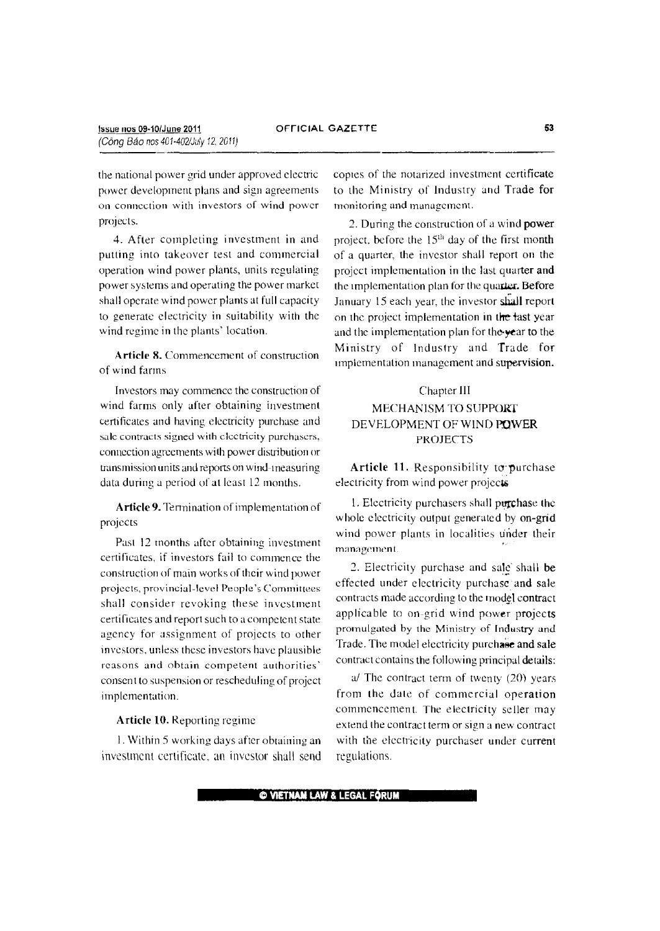the national power grid under approved electric power development plans and sign agreements on connection with investors of wind power projects.

4. After completing investment in and putting into takeover test and commercial operation wind power plants, units regulating power systems and operating the power market shall operate wind power plants at full capacity to generate electricity in suitability with the wind regime in the plants' location.

Article 8. Commencement of construction of wind farms

Investors may commence the construction of wind farms only after obtaining investment certificates and having electricity purchase and sale contracts signed with electricity purchasers, connection agreements with power distribution or transmission units and reports on Wind-measuring data during a period of at least 12 months.

Article 9. Tennination of implementation of projects

Past 12 months after obtaining investment certificates, if investors fail to commence the construction of main works of their wind power projects, provincial-level People's Committees shall consider revoking these investment certificates and report such to a competent state agency for assignment of projects to other investors. unless these investors have plausible reasons and obtain competent authorities' consent to suspension or rescheduling of project implementation.

Article 10. Reporting regime

I. Within 5 working days after obtaining an investment certificate. an investor shall send copies of the notarized investment certificate to the Ministry of Industry and Trade for monitoring and management.

2. During the construction of a wind power project, before the 15<sup>th</sup> day of the first month of a quarter, the investor shall report on the project implementation in the last quarter and the implementation plan for the quarter. Before January 15 each year, the investor shall report on the project implementation in the fast year and the implementation plan for the-year to the Ministry of Industry and Trade for implementation management and supervision.

## Chapter III

# MECHANISM TO SUPPORT DEVELOPMENT OF WIND POWER PROJECTS

Article 11. Responsibility to purchase electricity from wind power projects

I. Electricity purchasers shall purchase the whole electricity output generated by on-grid wind power plants in localities under their management.

2. Electricity purchase and sale shall be effected under electricity purchase and sale contracts made according to the model contract applicable to on-grid wind power projects promulgated by the Ministry of Industry and Trade. The model electricity purchase and sale contract contains the following principal details:

 $a$  The contract term of twenty (20) years from the dale of commercial operation commencement. The electricity seller may extend the contract term or sign a new contract with the electricity purchaser under current regulations.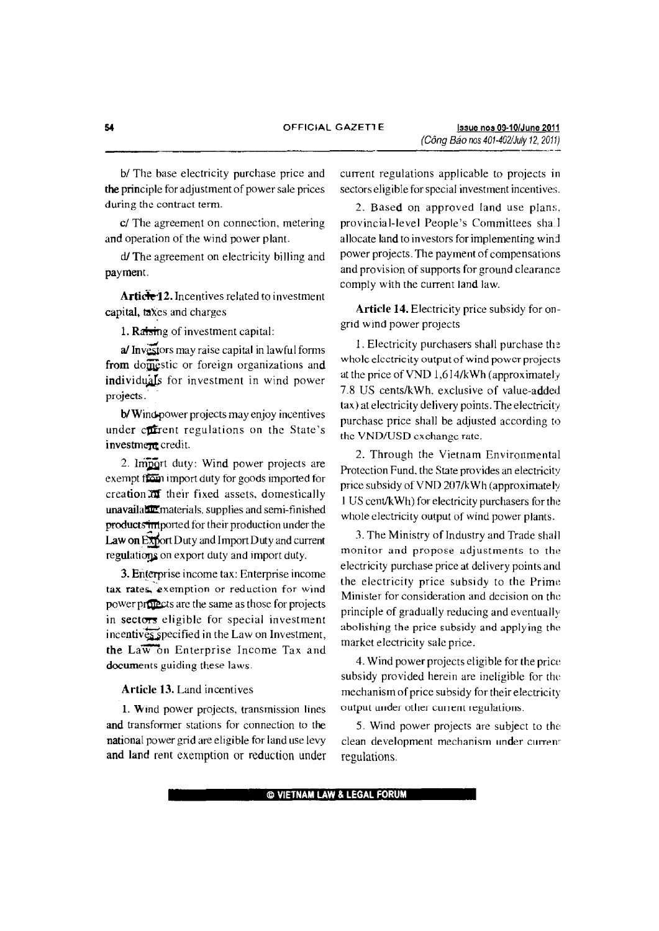b/ The base electricity purchase price and the principle for adjustment of power sale prices during the contract term.

e/ The agreement on connection, metering and operation of the wind power plant.

d/The agreement on electricity billing and payment.

Article<sup>12</sup>. Incentives related to investment capital, taxes and charges

1. Ratsing of investment capital:

a/ Investors may raise capital in lawful forms from domestic or foreign organizations and individuals for investment in wind power projects.

b/Wind-power projects may enjoy incentives under current regulations on the State's investment credit.

2. Import duty: Wind power projects are exempt from import duty for goods imported for  $c$ reation $\overline{ax}$  their fixed assets, domestically unavailabe materials. supplies and semi-finished products imported for their production under the Law on Export Duty and Import Duty and current regulations on export duty and import duty.

3. Enterprise income tax: Enterprise income tax rates, exemption or reduction for wind power projects are the same as those for projects in sectors eligible for special investment  $incentiv\overline{e_{s}}$  specified in the Law on Investment, the Law on Enterprise Income Tax and documents guiding these laws.

Article 13. Land incentives

1. Wind power projects, transmission lines and transformer stations for connection to the national power grid are eligible for land use levy and land rent exemption or reduction under current regulations applicable to projects in sectors eligible for special investment incentives,

2. Based on approved land use plans, provincial-level People's Committees sha.I allocate land to investors for implementing wind power projects. The payment of compensations and provision of supports for ground clearance comply with the current land law.

Article 14. Electricity price subsidy for ongrid wind power projects

I. Electricity purchasers shall purchase th whole electricity output of wind power projects at the price ofVND 1,614/kWh (approximately 7.8 US cents/kWh, exclusive of value-added tax) at electricity delivery points. The electricity purchase price shall be adjusted according to the VND/USD exchange rate.

2. Through the Vietnam Environmental Protection Fund. the State provides an electricity price subsidy ofVND 207/kWh (approximately 1US ccntlkWh) for electricity purchasers for the whole electricity output of wind power plants.

3. The Ministry of Industry and Trade shall monitor and propose adjustments to the electricity purchase price at delivery points and the electricity price subsidy to the Prime Minister for consideration and decision on the principle of gradually reducing and eventually abolishing the price subsidy and applying the market electricity salc price.

4. Wind power projects eligible for the price subsidy provided herein are ineligible for the mechanism of price subsidy for their electricity output under other current regulations.

5. Wind power projects are subject to the clean development mechanism under current regulations.